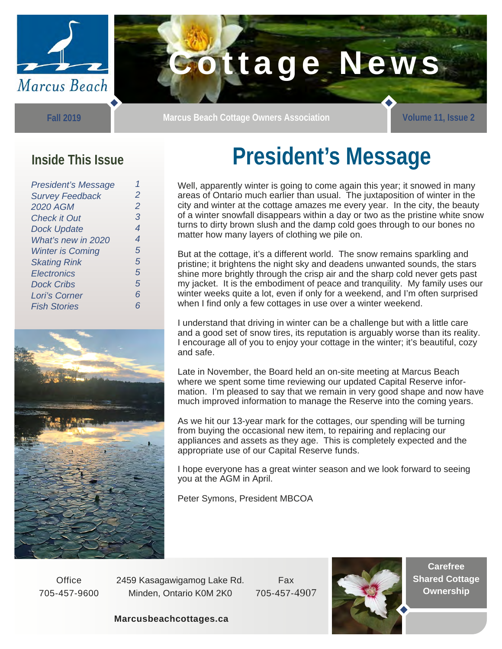

**Fall 2019** 

**Marcus Beach Cottage Owners Association Marcus Beach Cottage Owners Association** 

#### **Inside This Issue**

| <b>President's Message</b> |                |
|----------------------------|----------------|
| <b>Survey Feedback</b>     | $\mathcal P$   |
| <b>2020 AGM</b>            | $\overline{2}$ |
| <b>Check it Out</b>        | 3              |
| <b>Dock Update</b>         | 4              |
| What's new in 2020         | 4              |
| <b>Winter is Coming</b>    | 5              |
| <b>Skating Rink</b>        | 5              |
| Electronics                | 5              |
| <b>Dock Cribs</b>          | 5              |
| Lori's Corner              | 6              |
| <b>Fish Stories</b>        | 6              |
|                            |                |



# **President's Message**

Well, apparently winter is going to come again this year; it snowed in many areas of Ontario much earlier than usual. The juxtaposition of winter in the city and winter at the cottage amazes me every year. In the city, the beauty of a winter snowfall disappears within a day or two as the pristine white snow turns to dirty brown slush and the damp cold goes through to our bones no matter how many layers of clothing we pile on.

But at the cottage, it's a different world. The snow remains sparkling and pristine; it brightens the night sky and deadens unwanted sounds, the stars shine more brightly through the crisp air and the sharp cold never gets past my jacket. It is the embodiment of peace and tranquility. My family uses our winter weeks quite a lot, even if only for a weekend, and I'm often surprised when I find only a few cottages in use over a winter weekend.

I understand that driving in winter can be a challenge but with a little care and a good set of snow tires, its reputation is arguably worse than its reality. I encourage all of you to enjoy your cottage in the winter; it's beautiful, cozy and safe.

Late in November, the Board held an on-site meeting at Marcus Beach where we spent some time reviewing our updated Capital Reserve information. I'm pleased to say that we remain in very good shape and now have much improved information to manage the Reserve into the coming years.

As we hit our 13-year mark for the cottages, our spending will be turning from buying the occasional new item, to repairing and replacing our appliances and assets as they age. This is completely expected and the appropriate use of our Capital Reserve funds.

I hope everyone has a great winter season and we look forward to seeing you at the AGM in April.

Peter Symons, President MBCOA

**Office** 705-457-9600 2459 Kasagawigamog Lake Rd. Minden, Ontario K0M 2K0

Fax 705-457-4907



**Carefree Shared Cottage Ownership** 

#### **Marcusbeachcottages.ca**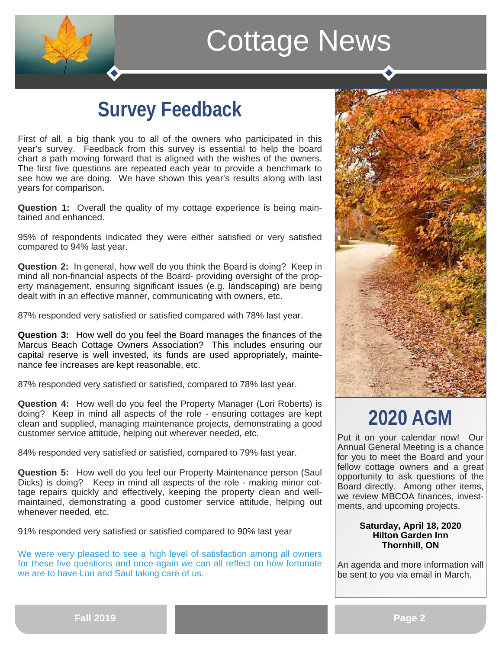

#### **Survey Feedback**

First of all, a big thank you to all of the owners who participated in this year's survey. Feedback from this survey is essential to help the board chart a path moving forward that is aligned with the wishes of the owners. The first five questions are repeated each year to provide a benchmark to see how we are doing. We have shown this year's results along with last years for comparison.

**Question 1:** Overall the quality of my cottage experience is being maintained and enhanced.

95% of respondents indicated they were either satisfied or very satisfied compared to 94% last year.

**Question 2:** In general, how well do you think the Board is doing? Keep in mind all non-financial aspects of the Board- providing oversight of the property management, ensuring significant issues (e.g. landscaping) are being dealt with in an effective manner, communicating with owners, etc.

87% responded very satisfied or satisfied compared with 78% last year.

**Question 3:** How well do you feel the Board manages the finances of the Marcus Beach Cottage Owners Association? This includes ensuring our capital reserve is well invested, its funds are used appropriately, maintenance fee increases are kept reasonable, etc.

87% responded very satisfied or satisfied, compared to 78% last year.

**Question 4:** How well do you feel the Property Manager (Lori Roberts) is doing? Keep in mind all aspects of the role - ensuring cottages are kept clean and supplied, managing maintenance projects, demonstrating a good customer service attitude, helping out wherever needed, etc.

84% responded very satisfied or satisfied, compared to 79% last year.

**Question 5:** How well do you feel our Property Maintenance person (Saul Dicks) is doing? Keep in mind all aspects of the role - making minor cottage repairs quickly and effectively, keeping the property clean and wellmaintained, demonstrating a good customer service attitude, helping out whenever needed, etc.

91% responded very satisfied or satisfied compared to 90% last year

We were very pleased to see a high level of satisfaction among all owners for these five questions and once again we can all reflect on how fortunate we are to have Lori and Saul taking care of us.



### **2020 AGM**

Put it on your calendar now! Our Annual General Meeting is a chance for you to meet the Board and your fellow cottage owners and a great opportunity to ask questions of the Board directly. Among other items, we review MBCOA finances, investments, and upcoming projects.

#### **Saturday, April 18, 2020 Hilton Garden Inn Thornhill, ON**

An agenda and more information will be sent to you via email in March.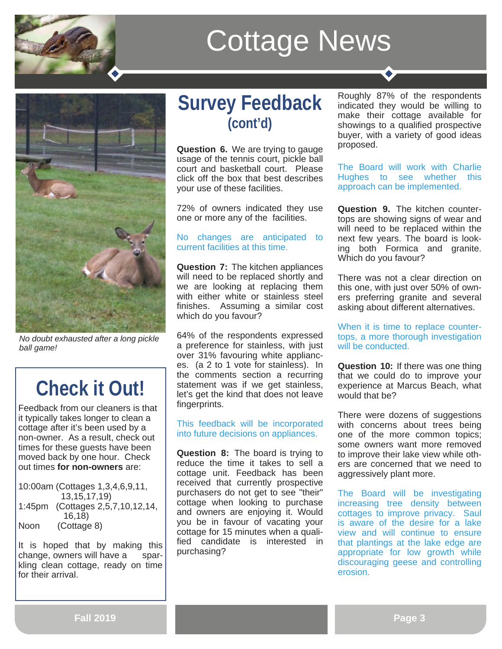



*No doubt exhausted after a long pickle ball game!* 

## **Check it Out!**

Feedback from our cleaners is that it typically takes longer to clean a cottage after it's been used by a non-owner. As a result, check out times for these guests have been moved back by one hour. Check out times **for non-owners** are:

10:00am (Cottages 1,3,4,6,9,11, 13,15,17,19) 1:45pm (Cottages 2,5,7,10,12,14, 16,18) Noon (Cottage 8)

It is hoped that by making this change, owners will have a sparkling clean cottage, ready on time for their arrival.

#### **Survey Feedback (cont'd)**

**Question 6.** We are trying to gauge usage of the tennis court, pickle ball court and basketball court. Please click off the box that best describes your use of these facilities.

72% of owners indicated they use one or more any of the facilities.

#### No changes are anticipated to current facilities at this time.

**Question 7:** The kitchen appliances will need to be replaced shortly and we are looking at replacing them with either white or stainless steel finishes. Assuming a similar cost which do you favour?

64% of the respondents expressed a preference for stainless, with just over 31% favouring white appliances. (a 2 to 1 vote for stainless). In the comments section a recurring statement was if we get stainless, let's get the kind that does not leave fingerprints.

This feedback will be incorporated into future decisions on appliances.

**Question 8:** The board is trying to reduce the time it takes to sell a cottage unit. Feedback has been received that currently prospective purchasers do not get to see "their" cottage when looking to purchase and owners are enjoying it. Would you be in favour of vacating your cottage for 15 minutes when a qualified candidate is interested in purchasing?

Roughly 87% of the respondents indicated they would be willing to make their cottage available for showings to a qualified prospective buyer, with a variety of good ideas proposed.

The Board will work with Charlie Hughes to see whether this approach can be implemented.

**Question 9.** The kitchen countertops are showing signs of wear and will need to be replaced within the next few years. The board is looking both Formica and granite. Which do you favour?

There was not a clear direction on this one, with just over 50% of owners preferring granite and several asking about different alternatives.

When it is time to replace countertops, a more thorough investigation will be conducted.

**Question 10:** If there was one thing that we could do to improve your experience at Marcus Beach, what would that be?

There were dozens of suggestions with concerns about trees being one of the more common topics; some owners want more removed to improve their lake view while others are concerned that we need to aggressively plant more.

The Board will be investigating increasing tree density between cottages to improve privacy. Saul is aware of the desire for a lake view and will continue to ensure that plantings at the lake edge are appropriate for low growth while discouraging geese and controlling erosion.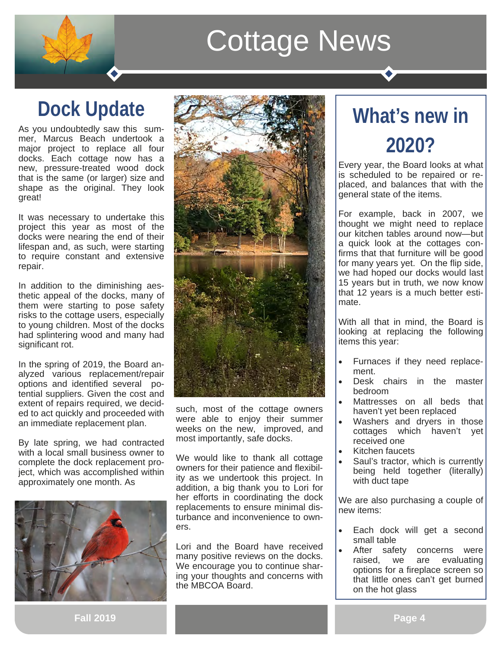## **Dock Update**

As you undoubtedly saw this summer, Marcus Beach undertook a major project to replace all four docks. Each cottage now has a new, pressure-treated wood dock that is the same (or larger) size and shape as the original. They look great!

It was necessary to undertake this project this year as most of the docks were nearing the end of their lifespan and, as such, were starting to require constant and extensive repair.

In addition to the diminishing aesthetic appeal of the docks, many of them were starting to pose safety risks to the cottage users, especially to young children. Most of the docks had splintering wood and many had significant rot.

In the spring of 2019, the Board analyzed various replacement/repair options and identified several potential suppliers. Given the cost and extent of repairs required, we decided to act quickly and proceeded with an immediate replacement plan.

By late spring, we had contracted with a local small business owner to complete the dock replacement project, which was accomplished within approximately one month. As





such, most of the cottage owners were able to enjoy their summer weeks on the new, improved, and most importantly, safe docks.

We would like to thank all cottage owners for their patience and flexibility as we undertook this project. In addition, a big thank you to Lori for her efforts in coordinating the dock replacements to ensure minimal disturbance and inconvenience to owners.

Lori and the Board have received many positive reviews on the docks. We encourage you to continue sharing your thoughts and concerns with the MBCOA Board.

## **What's new in 2020?**

Every year, the Board looks at what is scheduled to be repaired or replaced, and balances that with the general state of the items.

For example, back in 2007, we thought we might need to replace our kitchen tables around now—but a quick look at the cottages confirms that that furniture will be good for many years yet. On the flip side, we had hoped our docks would last 15 years but in truth, we now know that 12 years is a much better estimate.

With all that in mind, the Board is looking at replacing the following items this year:

- Furnaces if they need replacement.
- Desk chairs in the master bedroom
- Mattresses on all beds that haven't yet been replaced
- Washers and dryers in those cottages which haven't yet received one
- Kitchen faucets
- Saul's tractor, which is currently being held together (literally) with duct tape

We are also purchasing a couple of new items:

- Each dock will get a second small table
- After safety concerns were raised, we are evaluating options for a fireplace screen so that little ones can't get burned on the hot glass

**Fall 2019**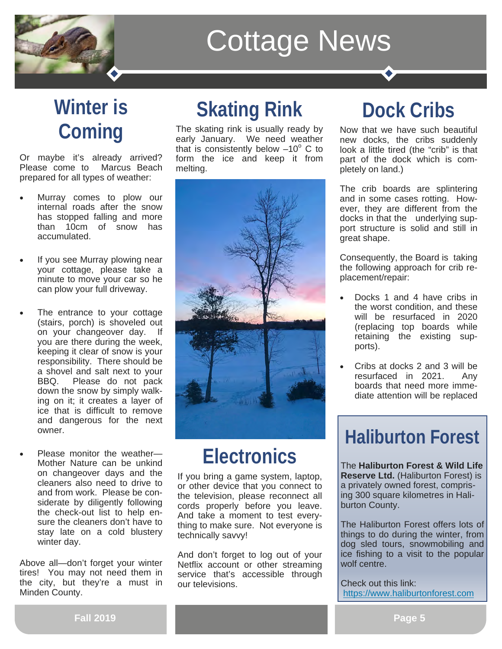

## **Winter is Coming**

Or maybe it's already arrived? Please come to Marcus Beach prepared for all types of weather:

- Murray comes to plow our internal roads after the snow has stopped falling and more than 10cm of snow has accumulated.
- If you see Murray plowing near your cottage, please take a minute to move your car so he can plow your full driveway.
- The entrance to your cottage (stairs, porch) is shoveled out on your changeover day. If you are there during the week, keeping it clear of snow is your responsibility. There should be a shovel and salt next to your BBQ. Please do not pack down the snow by simply walking on it; it creates a layer of ice that is difficult to remove and dangerous for the next owner.
- Please monitor the weather— Mother Nature can be unkind on changeover days and the cleaners also need to drive to and from work. Please be considerate by diligently following the check-out list to help ensure the cleaners don't have to stay late on a cold blustery winter day.

Above all—don't forget your winter tires! You may not need them in the city, but they're a must in Minden County.

#### **Skating Rink**

The skating rink is usually ready by early January. We need weather that is consistently below  $-10^{\circ}$  C to form the ice and keep it from melting.



#### **Electronics**

If you bring a game system, laptop, or other device that you connect to the television, please reconnect all cords properly before you leave. And take a moment to test everything to make sure. Not everyone is technically savvy!

And don't forget to log out of your Netflix account or other streaming service that's accessible through our televisions.

### **Dock Cribs**

Now that we have such beautiful new docks, the cribs suddenly look a little tired (the "crib" is that part of the dock which is completely on land.)

The crib boards are splintering and in some cases rotting. However, they are different from the docks in that the underlying support structure is solid and still in great shape.

Consequently, the Board is taking the following approach for crib replacement/repair:

- Docks 1 and 4 have cribs in the worst condition, and these will be resurfaced in 2020 (replacing top boards while retaining the existing supports).
- Cribs at docks 2 and 3 will be resurfaced in 2021. Any boards that need more immediate attention will be replaced

#### **Haliburton Forest**

The **Haliburton Forest & Wild Life Reserve Ltd.** (Haliburton Forest) is a privately owned forest, comprising 300 square kilometres in Haliburton County.

The Haliburton Forest offers lots of things to do during the winter, from dog sled tours, snowmobiling and ice fishing to a visit to the popular wolf centre.

Check out this link: https://www.haliburtonforest.com